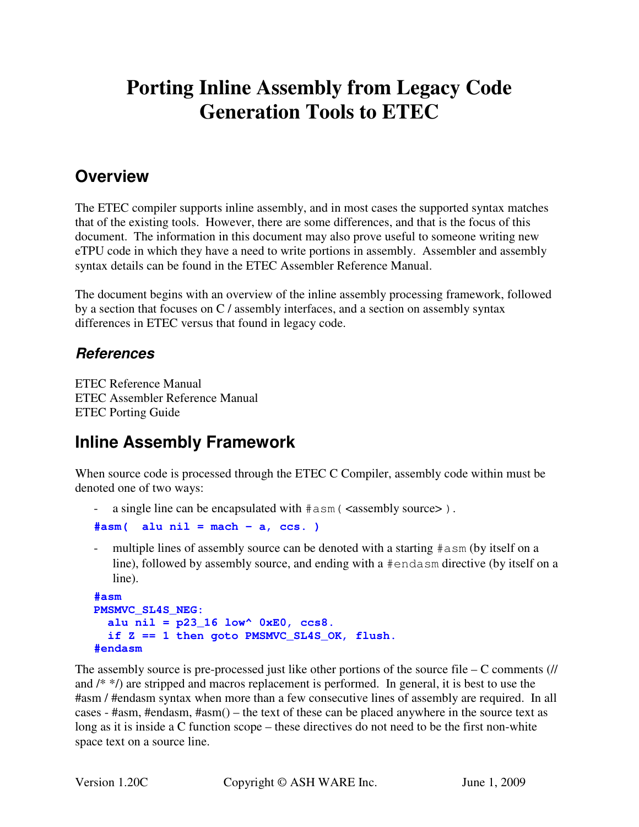# **Porting Inline Assembly from Legacy Code Generation Tools to ETEC**

# **Overview**

The ETEC compiler supports inline assembly, and in most cases the supported syntax matches that of the existing tools. However, there are some differences, and that is the focus of this document. The information in this document may also prove useful to someone writing new eTPU code in which they have a need to write portions in assembly. Assembler and assembly syntax details can be found in the ETEC Assembler Reference Manual.

The document begins with an overview of the inline assembly processing framework, followed by a section that focuses on C / assembly interfaces, and a section on assembly syntax differences in ETEC versus that found in legacy code.

#### **References**

ETEC Reference Manual ETEC Assembler Reference Manual ETEC Porting Guide

# **Inline Assembly Framework**

When source code is processed through the ETEC C Compiler, assembly code within must be denoted one of two ways:

a single line can be encapsulated with  $\#$  asm ( <assembly source > ).

```
#asm( alu nil = mach - a, ccs. )
```
multiple lines of assembly source can be denoted with a starting  $\#a$ sm (by itself on a line), followed by assembly source, and ending with a #endasm directive (by itself on a line).

```
#asm 
PMSMVC_SL4S_NEG: 
   alu nil = p23_16 low^ 0xE0, ccs8. 
   if Z == 1 then goto PMSMVC_SL4S_OK, flush. 
#endasm
```
The assembly source is pre-processed just like other portions of the source file – C comments  $(1)$ and /\* \*/) are stripped and macros replacement is performed. In general, it is best to use the #asm / #endasm syntax when more than a few consecutive lines of assembly are required. In all cases - #asm, #endasm, #asm() – the text of these can be placed anywhere in the source text as long as it is inside a C function scope – these directives do not need to be the first non-white space text on a source line.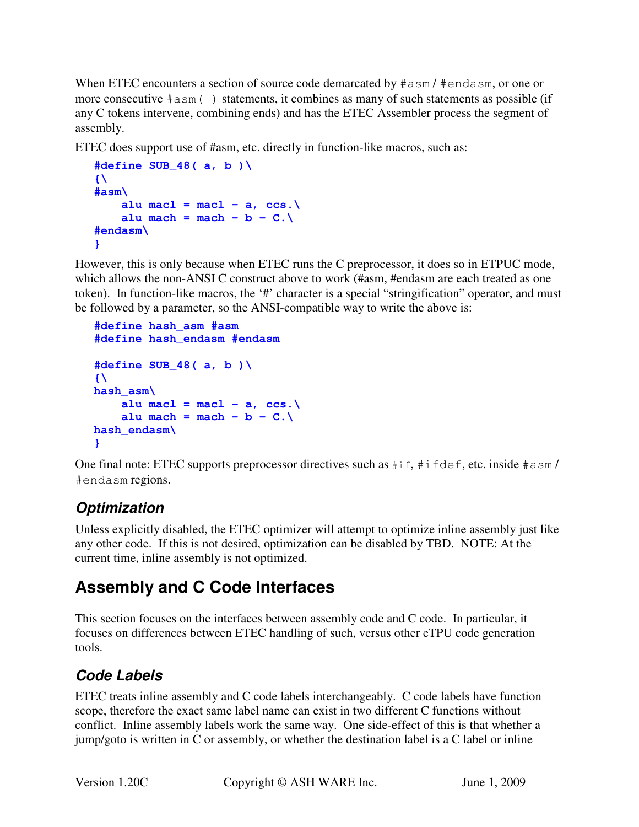When ETEC encounters a section of source code demarcated by  $\#a$ sm /  $\#e$ ndasm, or one or more consecutive #asm( ) statements, it combines as many of such statements as possible (if any C tokens intervene, combining ends) and has the ETEC Assembler process the segment of assembly.

ETEC does support use of #asm, etc. directly in function-like macros, such as:

```
#define SUB_48( a, b )\ 
\{ \}#asm\ 
    alu macl = macl - a, ccs.\setminusalu mach = mach - b - C.\#endasm\ 
}
```
However, this is only because when ETEC runs the C preprocessor, it does so in ETPUC mode, which allows the non-ANSI C construct above to work (#asm, #endasm are each treated as one token). In function-like macros, the '#' character is a special "stringification" operator, and must be followed by a parameter, so the ANSI-compatible way to write the above is:

```
#define hash_asm #asm 
#define hash_endasm #endasm 
#define SUB_48( a, b )\ 
\{ \}hash_asm\ 
    alu macl = mac1 - a, ccs.alu mach = mach - b - C.\hash_endasm\ 
}
```
One final note: ETEC supports preprocessor directives such as  $\#$ if,  $\#$ ifdef, etc. inside  $\#$ asm/ #endasm regions.

# **Optimization**

Unless explicitly disabled, the ETEC optimizer will attempt to optimize inline assembly just like any other code. If this is not desired, optimization can be disabled by TBD. NOTE: At the current time, inline assembly is not optimized.

# **Assembly and C Code Interfaces**

This section focuses on the interfaces between assembly code and C code. In particular, it focuses on differences between ETEC handling of such, versus other eTPU code generation tools.

# **Code Labels**

ETEC treats inline assembly and C code labels interchangeably. C code labels have function scope, therefore the exact same label name can exist in two different C functions without conflict. Inline assembly labels work the same way. One side-effect of this is that whether a jump/goto is written in C or assembly, or whether the destination label is a C label or inline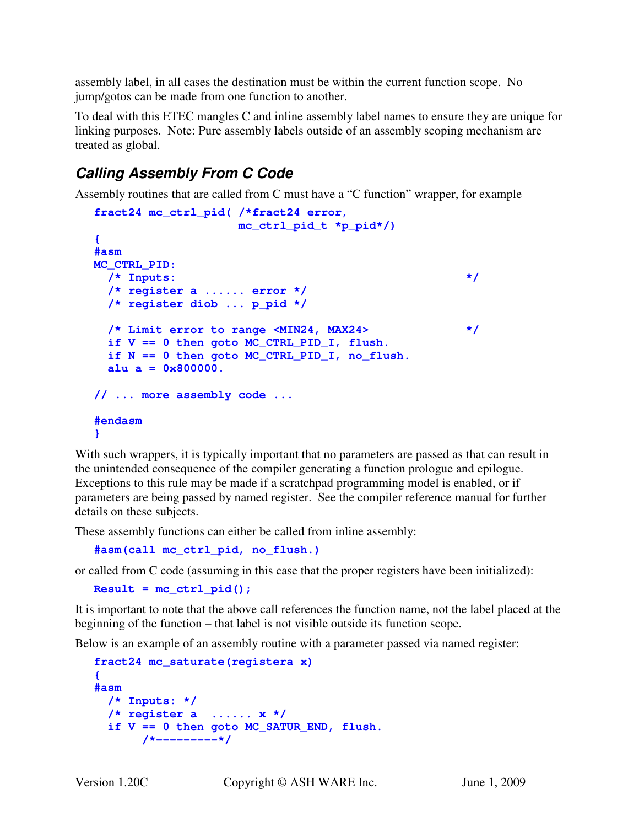assembly label, in all cases the destination must be within the current function scope. No jump/gotos can be made from one function to another.

To deal with this ETEC mangles C and inline assembly label names to ensure they are unique for linking purposes. Note: Pure assembly labels outside of an assembly scoping mechanism are treated as global.

# **Calling Assembly From C Code**

Assembly routines that are called from C must have a "C function" wrapper, for example

```
fract24 mc_ctrl_pid( /*fract24 error, 
                    mc_ctrl_pid_t *p_pid*/) 
{ 
#asm 
MC_CTRL_PID: 
  /* Inputs: */ 
   /* register a ...... error */ 
   /* register diob ... p_pid */ 
   /* Limit error to range <MIN24, MAX24> */ 
   if V == 0 then goto MC_CTRL_PID_I, flush. 
   if N == 0 then goto MC_CTRL_PID_I, no_flush. 
  alu = 0x800000.
// ... more assembly code ... 
#endasm 
}
```
With such wrappers, it is typically important that no parameters are passed as that can result in the unintended consequence of the compiler generating a function prologue and epilogue. Exceptions to this rule may be made if a scratchpad programming model is enabled, or if parameters are being passed by named register. See the compiler reference manual for further details on these subjects.

These assembly functions can either be called from inline assembly:

**#asm(call mc\_ctrl\_pid, no\_flush.)** 

or called from C code (assuming in this case that the proper registers have been initialized):

```
Result = mc \text{ ctrl pid});
```
It is important to note that the above call references the function name, not the label placed at the beginning of the function – that label is not visible outside its function scope.

Below is an example of an assembly routine with a parameter passed via named register:

```
fract24 mc_saturate(registera x) 
{ 
#asm 
   /* Inputs: */ 
   /* register a ...... x */ 
   if V == 0 then goto MC_SATUR_END, flush. 
        /*---------*/
```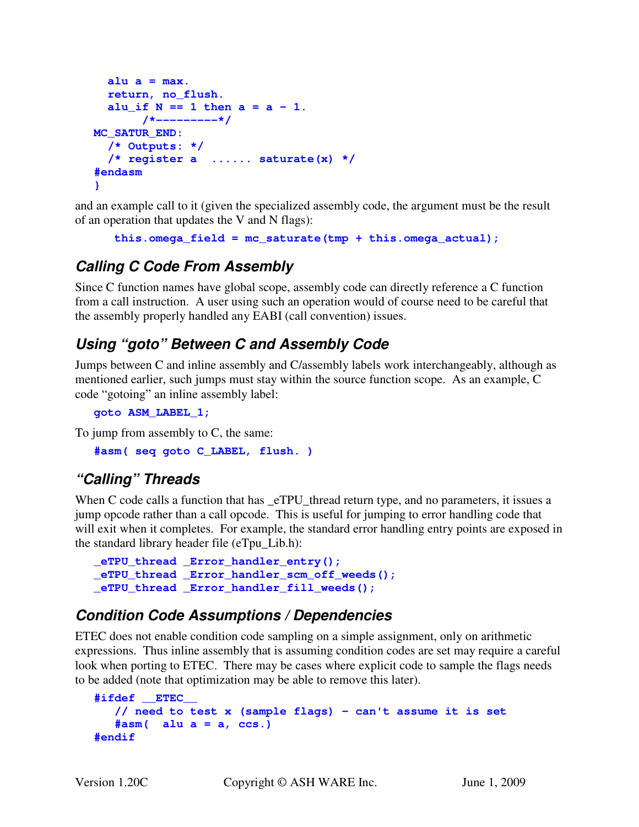```
alu a = max. return, no_flush. 
  alu if N = 1 then a = a - 1.
        /*---------*/ 
MC_SATUR_END: 
   /* Outputs: */ 
   /* register a ...... saturate(x) */ 
#endasm 
}
```
and an example call to it (given the specialized assembly code, the argument must be the result of an operation that updates the V and N flags):

```
 this.omega_field = mc_saturate(tmp + this.omega_actual);
```
### **Calling C Code From Assembly**

Since C function names have global scope, assembly code can directly reference a C function from a call instruction. A user using such an operation would of course need to be careful that the assembly properly handled any EABI (call convention) issues.

# **Using "goto" Between C and Assembly Code**

Jumps between C and inline assembly and C/assembly labels work interchangeably, although as mentioned earlier, such jumps must stay within the source function scope. As an example, C code "gotoing" an inline assembly label:

```
goto ASM_LABEL_1;
```
To jump from assembly to C, the same:

```
#asm( seq goto C_LABEL, flush. )
```
## **"Calling" Threads**

When C code calls a function that has \_eTPU\_thread return type, and no parameters, it issues a jump opcode rather than a call opcode. This is useful for jumping to error handling code that will exit when it completes. For example, the standard error handling entry points are exposed in the standard library header file (eTpu\_Lib.h):

```
_eTPU_thread _Error_handler_entry(); 
_eTPU_thread _Error_handler_scm_off_weeds(); 
_eTPU_thread _Error_handler_fill_weeds();
```
### **Condition Code Assumptions / Dependencies**

ETEC does not enable condition code sampling on a simple assignment, only on arithmetic expressions. Thus inline assembly that is assuming condition codes are set may require a careful look when porting to ETEC. There may be cases where explicit code to sample the flags needs to be added (note that optimization may be able to remove this later).

```
#ifdef __ETEC__ 
    // need to test x (sample flags) - can't assume it is set 
    #asm( alu a = a, ccs.) 
#endif
```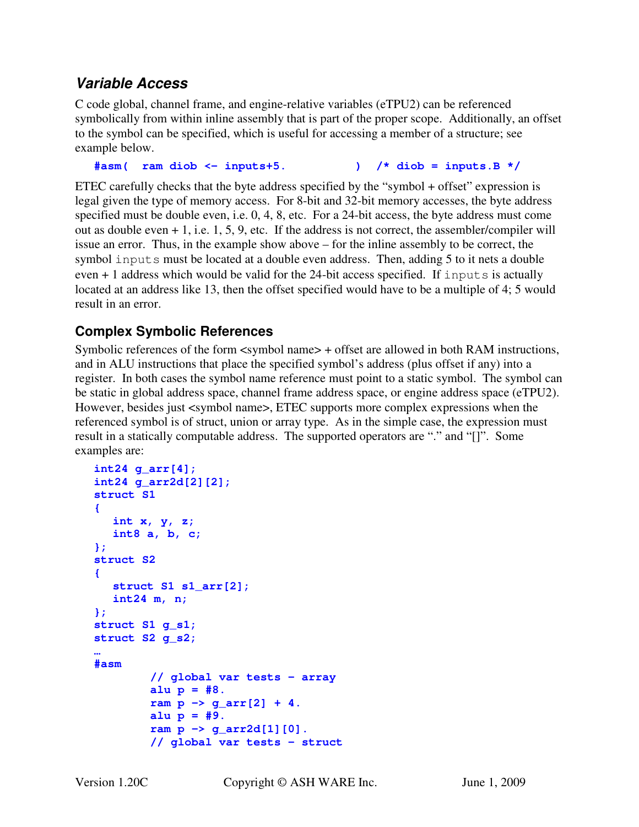#### **Variable Access**

C code global, channel frame, and engine-relative variables (eTPU2) can be referenced symbolically from within inline assembly that is part of the proper scope. Additionally, an offset to the symbol can be specified, which is useful for accessing a member of a structure; see example below.

**#asm( ram diob <- inputs+5. ) /\* diob = inputs.B \*/** 

ETEC carefully checks that the byte address specified by the "symbol + offset" expression is legal given the type of memory access. For 8-bit and 32-bit memory accesses, the byte address specified must be double even, i.e. 0, 4, 8, etc. For a 24-bit access, the byte address must come out as double even + 1, i.e. 1, 5, 9, etc. If the address is not correct, the assembler/compiler will issue an error. Thus, in the example show above – for the inline assembly to be correct, the symbol inputs must be located at a double even address. Then, adding 5 to it nets a double even + 1 address which would be valid for the 24-bit access specified. If inputs is actually located at an address like 13, then the offset specified would have to be a multiple of 4; 5 would result in an error.

#### **Complex Symbolic References**

Symbolic references of the form <symbol name> + offset are allowed in both RAM instructions, and in ALU instructions that place the specified symbol's address (plus offset if any) into a register. In both cases the symbol name reference must point to a static symbol. The symbol can be static in global address space, channel frame address space, or engine address space (eTPU2). However, besides just <symbol name>, ETEC supports more complex expressions when the referenced symbol is of struct, union or array type. As in the simple case, the expression must result in a statically computable address. The supported operators are "." and "[]". Some examples are:

```
int24 g_arr[4]; 
int24 g_arr2d[2][2]; 
struct S1 
{ 
    int x, y, z; 
    int8 a, b, c; 
}; 
struct S2 
{ 
    struct S1 s1_arr[2]; 
    int24 m, n; 
}; 
struct S1 g_s1; 
struct S2 g_s2; 
… 
#asm 
          // global var tests - array 
          alu p = #8. 
         ram p \rightarrow g_{arr}[2] + 4.
          alu p = #9. 
          ram p -> g_arr2d[1][0]. 
          // global var tests - struct
```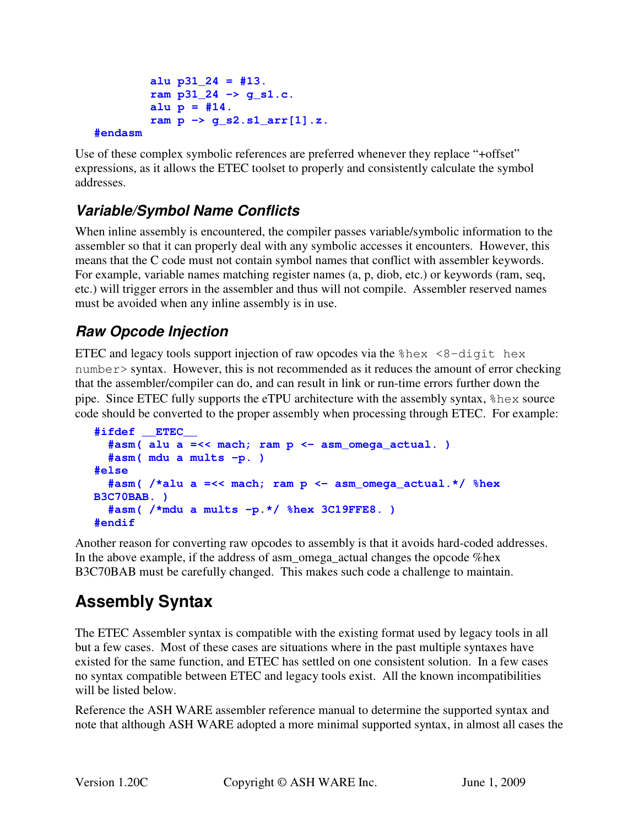```
 alu p31_24 = #13. 
 ram p31_24 -> g_s1.c. 
alu p = #14. ram p -> g_s2.s1_arr[1].z.
```
#### **#endasm**

Use of these complex symbolic references are preferred whenever they replace "+offset" expressions, as it allows the ETEC toolset to properly and consistently calculate the symbol addresses.

## **Variable/Symbol Name Conflicts**

When inline assembly is encountered, the compiler passes variable/symbolic information to the assembler so that it can properly deal with any symbolic accesses it encounters. However, this means that the C code must not contain symbol names that conflict with assembler keywords. For example, variable names matching register names (a, p, diob, etc.) or keywords (ram, seq, etc.) will trigger errors in the assembler and thus will not compile. Assembler reserved names must be avoided when any inline assembly is in use.

## **Raw Opcode Injection**

ETEC and legacy tools support injection of raw opcodes via the  $\text{ghex}$  <8-digit hex  $number > syntax.$  However, this is not recommended as it reduces the amount of error checking that the assembler/compiler can do, and can result in link or run-time errors further down the pipe. Since ETEC fully supports the eTPU architecture with the assembly syntax, %hex source code should be converted to the proper assembly when processing through ETEC. For example:

```
#ifdef __ETEC__ 
   #asm( alu a =<< mach; ram p <- asm_omega_actual. ) 
   #asm( mdu a mults -p. ) 
#else 
   #asm( /*alu a =<< mach; ram p <- asm_omega_actual.*/ %hex 
B3C70BAB. ) 
   #asm( /*mdu a mults -p.*/ %hex 3C19FFE8. ) 
#endif
```
Another reason for converting raw opcodes to assembly is that it avoids hard-coded addresses. In the above example, if the address of asm omega actual changes the opcode % hex B3C70BAB must be carefully changed. This makes such code a challenge to maintain.

# **Assembly Syntax**

The ETEC Assembler syntax is compatible with the existing format used by legacy tools in all but a few cases. Most of these cases are situations where in the past multiple syntaxes have existed for the same function, and ETEC has settled on one consistent solution. In a few cases no syntax compatible between ETEC and legacy tools exist. All the known incompatibilities will be listed below.

Reference the ASH WARE assembler reference manual to determine the supported syntax and note that although ASH WARE adopted a more minimal supported syntax, in almost all cases the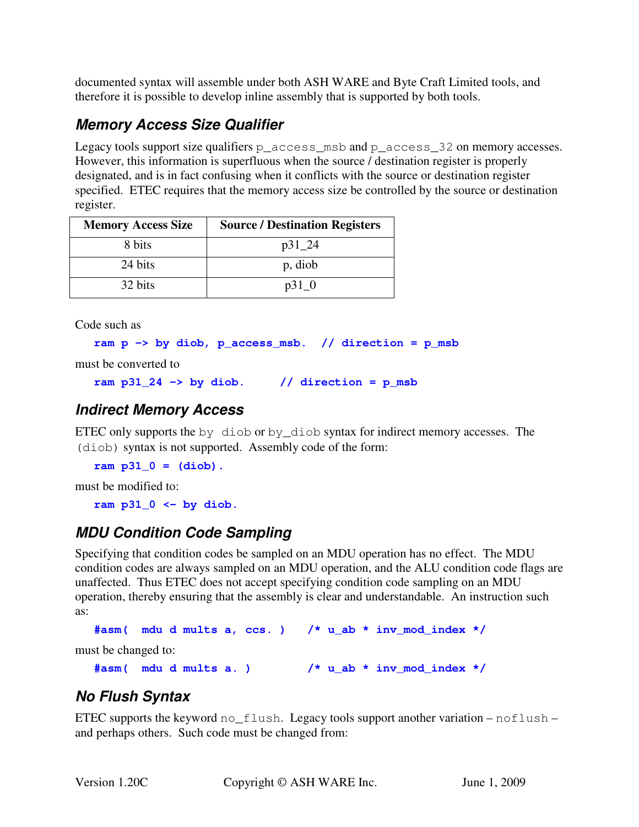documented syntax will assemble under both ASH WARE and Byte Craft Limited tools, and therefore it is possible to develop inline assembly that is supported by both tools.

# **Memory Access Size Qualifier**

Legacy tools support size qualifiers  $p\_access\_msb$  and  $p\_access\_32$  on memory accesses. However, this information is superfluous when the source / destination register is properly designated, and is in fact confusing when it conflicts with the source or destination register specified. ETEC requires that the memory access size be controlled by the source or destination register.

| <b>Memory Access Size</b> | <b>Source / Destination Registers</b> |
|---------------------------|---------------------------------------|
| 8 bits                    | $p31_224$                             |
| 24 bits                   | p, diob                               |
| 32 bits                   | $p31$ 0                               |

Code such as

```
ram p -> by diob, p_access_msb. // direction = p_msb
```
must be converted to

```
ram p31_24 \rightarrow by diob. // direction = p msb
```
### **Indirect Memory Access**

ETEC only supports the by diob or by diob syntax for indirect memory accesses. The (diob) syntax is not supported. Assembly code of the form:

**ram p31\_0 = (diob).** 

must be modified to:

**ram p31\_0 <- by diob.** 

## **MDU Condition Code Sampling**

Specifying that condition codes be sampled on an MDU operation has no effect. The MDU condition codes are always sampled on an MDU operation, and the ALU condition code flags are unaffected. Thus ETEC does not accept specifying condition code sampling on an MDU operation, thereby ensuring that the assembly is clear and understandable. An instruction such as:

```
#asm( mdu d mults a, ccs. ) /* u_ab * inv_mod_index */
```
must be changed to:

```
#asm( mdu d mults a. ) /* u_ab * inv_mod_index */
```
## **No Flush Syntax**

ETEC supports the keyword  $no_flush.$  Legacy tools support another variation –  $noflush$ and perhaps others. Such code must be changed from: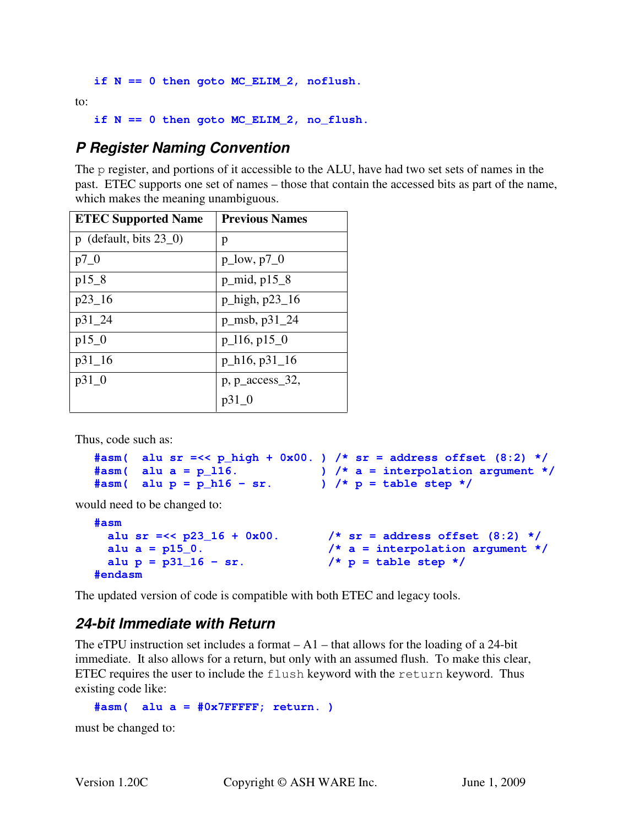**if N == 0 then goto MC\_ELIM\_2, noflush.** 

to:

**if N == 0 then goto MC\_ELIM\_2, no\_flush.** 

#### **P Register Naming Convention**

The p register, and portions of it accessible to the ALU, have had two set sets of names in the past. ETEC supports one set of names – those that contain the accessed bits as part of the name, which makes the meaning unambiguous.

| <b>ETEC Supported Name</b>        | <b>Previous Names</b>  |
|-----------------------------------|------------------------|
| $p$ (default, bits $23\angle 0$ ) | p                      |
| $p7_0$                            | $p_low, p7_0$          |
| $p15_8$                           | $p_{mid, p15_8}$       |
| $p23_16$                          | $p_{high, p23_16}$     |
| $p31_224$                         | $p_{msb}$ , $p31_{24}$ |
| p150                              | $p_116, p_150$         |
| $p31_16$                          | $p_h16, p31_16$        |
| $p31_0$                           | p, p_access_32,        |
|                                   | p31 0                  |

Thus, code such as:

```
#asm( alu sr =<< p_high + 0x00. ) /* sr = address offset (8:2) */ 
#asm( alu a = p_l16. ) /* a = interpolation argument */ 
#asm( alu p = p_h16 - sr. ) /* p = table step */
```
would need to be changed to:

```
#asm 
  alu sr =<< p23_16 + 0x00. /* sr = address offset (8:2) */ 
 alu a = p15_0. \frac{1}{x} a = interpolation argument */
 alu p = p31_16 - sr. /* p = table step */#endasm
```
The updated version of code is compatible with both ETEC and legacy tools.

#### **24-bit Immediate with Return**

The eTPU instruction set includes a format  $-A1$  – that allows for the loading of a 24-bit immediate. It also allows for a return, but only with an assumed flush. To make this clear, ETEC requires the user to include the flush keyword with the return keyword. Thus existing code like:

**#asm( alu a = #0x7FFFFF; return. )** 

must be changed to: